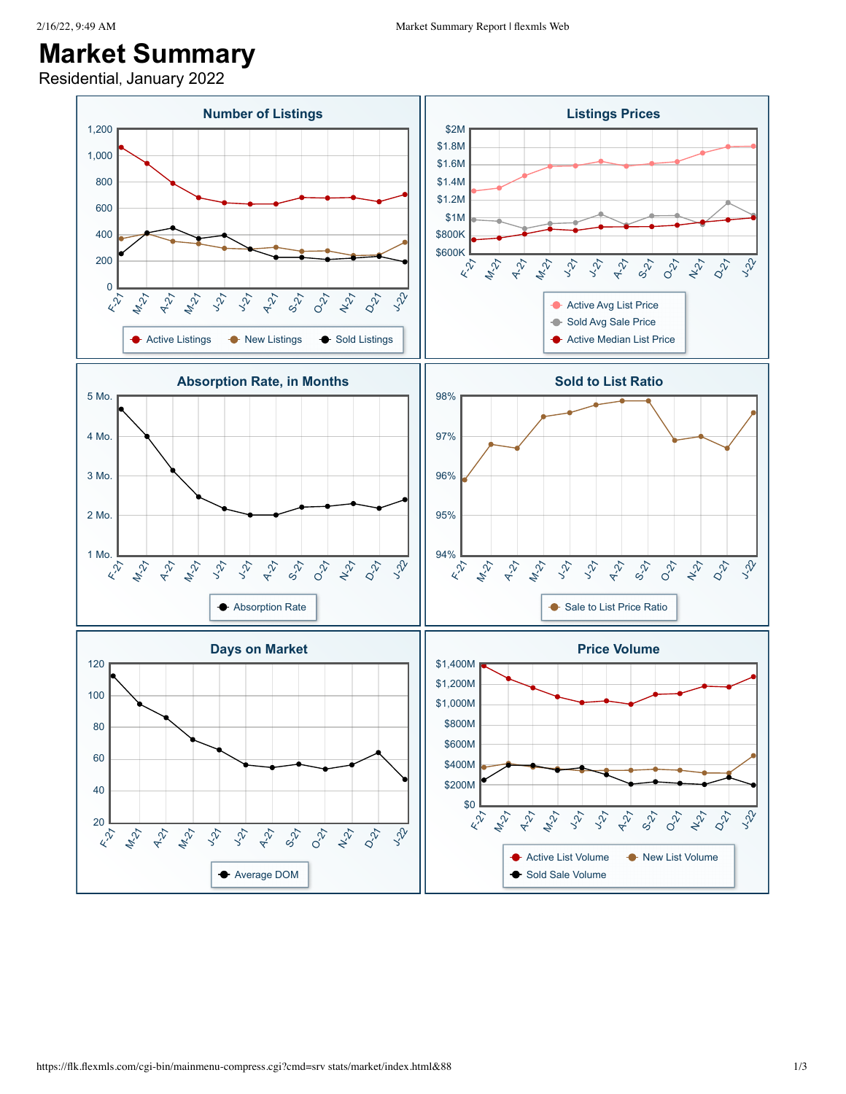## **Market Summary**

Residential, January 2022

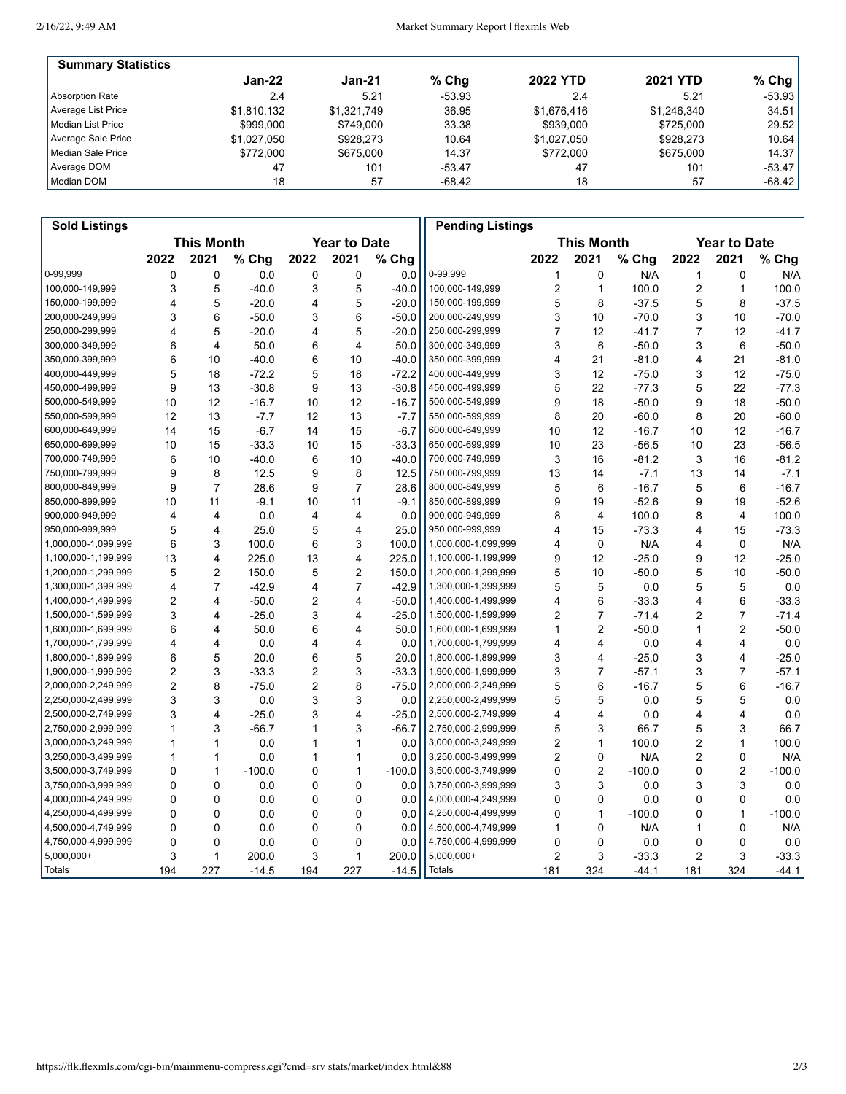2/16/22, 9:49 AM

## Market Summary Report | flexmls Web

| <b>Summary Statistics</b> |             |             |          |                 |                 |          |
|---------------------------|-------------|-------------|----------|-----------------|-----------------|----------|
|                           | $Jan-22$    | $Jan-21$    | $%$ Chg  | <b>2022 YTD</b> | <b>2021 YTD</b> | $%$ Chg  |
| Absorption Rate           | 2.4         | 5.21        | $-53.93$ | 2.4             | 5.21            | $-53.93$ |
| Average List Price        | \$1.810.132 | \$1,321,749 | 36.95    | \$1,676,416     | \$1,246,340     | 34.51    |
| Median List Price         | \$999.000   | \$749.000   | 33.38    | \$939,000       | \$725,000       | 29.52    |
| Average Sale Price        | \$1.027.050 | \$928.273   | 10.64    | \$1,027,050     | \$928.273       | 10.64    |
| Median Sale Price         | \$772,000   | \$675,000   | 14.37    | \$772,000       | \$675,000       | 14.37    |
| Average DOM               | 47          | 101         | $-53.47$ | 47              | 101             | -53.47   |
| Median DOM                | 18          | 57          | -68.42   | 18              | 57              | -68.42   |

| <b>Sold Listings</b> |                                          |                         |          |                |                     |          | <b>Pending Listings</b> |                         |                           |          |                |                |          |
|----------------------|------------------------------------------|-------------------------|----------|----------------|---------------------|----------|-------------------------|-------------------------|---------------------------|----------|----------------|----------------|----------|
|                      | <b>This Month</b><br><b>Year to Date</b> |                         |          |                | <b>Year to Date</b> |          |                         |                         |                           |          |                |                |          |
|                      | 2022                                     | 2021                    | % Chg    | 2022           | 2021                | % Chg    |                         | 2022                    | <b>This Month</b><br>2021 | % Chg    | 2022           | 2021           | % Chg    |
| 0-99,999             | 0                                        | 0                       | 0.0      | 0              | 0                   | 0.0      | 0-99,999                | 1                       | 0                         | N/A      | 1              | 0              | N/A      |
| 100,000-149,999      | 3                                        | 5                       | $-40.0$  | 3              | 5                   | $-40.0$  | 100,000-149,999         | $\overline{\mathbf{c}}$ | $\mathbf{1}$              | 100.0    | 2              | $\mathbf{1}$   | 100.0    |
| 150,000-199,999      | 4                                        | 5                       | $-20.0$  | 4              | 5                   | $-20.0$  | 150,000-199,999         | 5                       | 8                         | $-37.5$  | 5              | 8              | $-37.5$  |
| 200,000-249,999      | 3                                        | 6                       | $-50.0$  | 3              | 6                   | $-50.0$  | 200,000-249,999         | 3                       | 10                        | $-70.0$  | 3              | 10             | $-70.0$  |
| 250,000-299,999      | 4                                        | 5                       | $-20.0$  | 4              | 5                   | $-20.0$  | 250,000-299,999         | $\overline{7}$          | 12                        | $-41.7$  | 7              | 12             | $-41.7$  |
| 300,000-349,999      | 6                                        | 4                       | 50.0     | 6              | 4                   | 50.0     | 300,000-349,999         | 3                       | 6                         | $-50.0$  | 3              | 6              | $-50.0$  |
| 350,000-399,999      | 6                                        | 10                      | $-40.0$  | 6              | 10                  | $-40.0$  | 350,000-399,999         | 4                       | 21                        | $-81.0$  | 4              | 21             | $-81.0$  |
| 400,000-449,999      | 5                                        | 18                      | $-72.2$  | 5              | 18                  | $-72.2$  | 400,000-449,999         | 3                       | 12                        | $-75.0$  | 3              | 12             | $-75.0$  |
| 450,000-499,999      | 9                                        | 13                      | $-30.8$  | 9              | 13                  | $-30.8$  | 450,000-499,999         | 5                       | 22                        | $-77.3$  | 5              | 22             | $-77.3$  |
| 500,000-549,999      | 10                                       | 12                      | $-16.7$  | 10             | 12                  | $-16.7$  | 500,000-549,999         | 9                       | 18                        | $-50.0$  | 9              | 18             | $-50.0$  |
| 550,000-599,999      | 12                                       | 13                      | $-7.7$   | 12             | 13                  | $-7.7$   | 550,000-599,999         | 8                       | 20                        | $-60.0$  | 8              | 20             | $-60.0$  |
| 600,000-649,999      | 14                                       | 15                      | $-6.7$   | 14             | 15                  | $-6.7$   | 600,000-649,999         | 10                      | 12                        | $-16.7$  | 10             | 12             | $-16.7$  |
| 650,000-699,999      | 10                                       | 15                      | $-33.3$  | 10             | 15                  | $-33.3$  | 650,000-699,999         | 10                      | 23                        | $-56.5$  | 10             | 23             | $-56.5$  |
| 700,000-749,999      | 6                                        | 10                      | $-40.0$  | 6              | 10                  | $-40.0$  | 700,000-749,999         | 3                       | 16                        | $-81.2$  | 3              | 16             | $-81.2$  |
| 750,000-799,999      | 9                                        | 8                       | 12.5     | 9              | 8                   | 12.5     | 750,000-799,999         | 13                      | 14                        | $-7.1$   | 13             | 14             | $-7.1$   |
| 800,000-849,999      | 9                                        | $\overline{7}$          | 28.6     | 9              | $\overline{7}$      | 28.6     | 800,000-849,999         | 5                       | 6                         | $-16.7$  | 5              | 6              | $-16.7$  |
| 850,000-899,999      | 10                                       | 11                      | $-9.1$   | 10             | 11                  | $-9.1$   | 850,000-899,999         | 9                       | 19                        | $-52.6$  | 9              | 19             | $-52.6$  |
| 900,000-949,999      | 4                                        | 4                       | 0.0      | $\overline{4}$ | 4                   | 0.0      | 900,000-949,999         | 8                       | $\overline{4}$            | 100.0    | 8              | $\overline{4}$ | 100.0    |
| 950,000-999,999      | 5                                        | 4                       | 25.0     | 5              | 4                   | 25.0     | 950,000-999,999         | 4                       | 15                        | $-73.3$  | 4              | 15             | $-73.3$  |
| 1,000,000-1,099,999  | 6                                        | 3                       | 100.0    | 6              | 3                   | 100.0    | 1,000,000-1,099,999     | 4                       | 0                         | N/A      | 4              | 0              | N/A      |
| 1,100,000-1,199,999  | 13                                       | 4                       | 225.0    | 13             | 4                   | 225.0    | 1,100,000-1,199,999     | 9                       | 12                        | $-25.0$  | 9              | 12             | $-25.0$  |
| 1,200,000-1,299,999  | 5                                        | 2                       | 150.0    | 5              | $\overline{2}$      | 150.0    | 1,200,000-1,299,999     | 5                       | 10                        | $-50.0$  | 5              | 10             | $-50.0$  |
| 1,300,000-1,399,999  | 4                                        | $\overline{7}$          | $-42.9$  | 4              | $\overline{7}$      | $-42.9$  | 1,300,000-1,399,999     | 5                       | 5                         | 0.0      | 5              | 5              | 0.0      |
| 1,400,000-1,499,999  | $\overline{2}$                           | 4                       | $-50.0$  | 2              | 4                   | $-50.0$  | 1,400,000-1,499,999     | 4                       | 6                         | $-33.3$  | 4              | 6              | $-33.3$  |
| 1,500,000-1,599,999  | 3                                        | 4                       | $-25.0$  | 3              | 4                   | $-25.0$  | 1,500,000-1,599,999     | 2                       | $\overline{7}$            | $-71.4$  | 2              | $\overline{7}$ | $-71.4$  |
| 1,600,000-1,699,999  | 6                                        | 4                       | 50.0     | 6              | 4                   | 50.0     | 1,600,000-1,699,999     | 1                       | $\overline{2}$            | $-50.0$  | 1              | $\overline{2}$ | $-50.0$  |
| 1,700,000-1,799,999  | 4                                        | 4                       | 0.0      | 4              | 4                   | 0.0      | 1,700,000-1,799,999     | 4                       | 4                         | 0.0      | 4              | 4              | 0.0      |
| 1,800,000-1,899,999  | 6                                        | 5                       | 20.0     | 6              | 5                   | 20.0     | 1,800,000-1,899,999     | 3                       | $\overline{4}$            | $-25.0$  | 3              | 4              | $-25.0$  |
| 1,900,000-1,999,999  | $\overline{2}$                           | 3                       | $-33.3$  | 2              | 3                   | $-33.3$  | 1,900,000-1,999,999     | 3                       | $\overline{7}$            | $-57.1$  | 3              | $\overline{7}$ | $-57.1$  |
| 2,000,000-2,249,999  | $\overline{2}$                           | 8                       | $-75.0$  | 2              | 8                   | $-75.0$  | 2,000,000-2,249,999     | 5                       | 6                         | $-16.7$  | 5              | 6              | $-16.7$  |
| 2,250,000-2,499,999  | 3                                        | 3                       | 0.0      | 3              | 3                   | 0.0      | 2,250,000-2,499,999     | 5                       | 5                         | 0.0      | 5              | 5              | 0.0      |
| 2,500,000-2,749,999  | 3                                        | $\overline{\mathbf{4}}$ | $-25.0$  | 3              | 4                   | $-25.0$  | 2,500,000-2,749,999     | 4                       | $\overline{\mathbf{4}}$   | 0.0      | 4              | 4              | 0.0      |
| 2,750,000-2,999,999  | 1                                        | 3                       | $-66.7$  | 1              | 3                   | $-66.7$  | 2,750,000-2,999,999     | 5                       | 3                         | 66.7     | 5              | 3              | 66.7     |
| 3,000,000-3,249,999  | 1                                        | 1                       | 0.0      | 1              | 1                   | 0.0      | 3,000,000-3,249,999     | $\overline{c}$          | $\mathbf{1}$              | 100.0    | $\overline{2}$ | 1              | 100.0    |
| 3,250,000-3,499,999  | 1                                        | 1                       | 0.0      | 1              | 1                   | 0.0      | 3,250,000-3,499,999     | $\overline{c}$          | 0                         | N/A      | 2              | 0              | N/A      |
| 3,500,000-3,749,999  | 0                                        | $\mathbf{1}$            | $-100.0$ | 0              | $\mathbf{1}$        | $-100.0$ | 3,500,000-3,749,999     | 0                       | $\boldsymbol{2}$          | $-100.0$ | 0              | $\overline{2}$ | $-100.0$ |
| 3,750,000-3,999,999  | 0                                        | 0                       | 0.0      | 0              | 0                   | 0.0      | 3,750,000-3,999,999     | 3                       | 3                         | 0.0      | 3              | 3              | 0.0      |
| 4,000,000-4,249,999  | 0                                        | 0                       | 0.0      | 0              | 0                   | 0.0      | 4,000,000-4,249,999     | 0                       | 0                         | 0.0      | 0              | 0              | 0.0      |
| 4,250,000-4,499,999  | 0                                        | 0                       | 0.0      | 0              | 0                   | 0.0      | 4,250,000-4,499,999     | 0                       | 1                         | $-100.0$ | 0              | 1              | $-100.0$ |
| 4,500,000-4,749,999  | 0                                        | $\mathbf{0}$            | 0.0      | 0              | 0                   | 0.0      | 4,500,000-4,749,999     | 1                       | 0                         | N/A      | 1              | $\mathbf{0}$   | N/A      |
| 4,750,000-4,999,999  | 0                                        | 0                       | 0.0      | 0              | $\mathbf 0$         | 0.0      | 4,750,000-4,999,999     | 0                       | $\Omega$                  | 0.0      | 0              | $\mathbf 0$    | 0.0      |
| $5,000,000+$         | 3                                        | 1                       | 200.0    | 3              | 1                   | 200.0    | 5,000,000+              | 2                       | 3                         | $-33.3$  | $\overline{2}$ | 3              | $-33.3$  |
| Totals               | 194                                      | 227                     | $-14.5$  | 194            | 227                 | $-14.5$  | Totals                  | 181                     | 324                       | $-44.1$  | 181            | 324            | $-44.1$  |